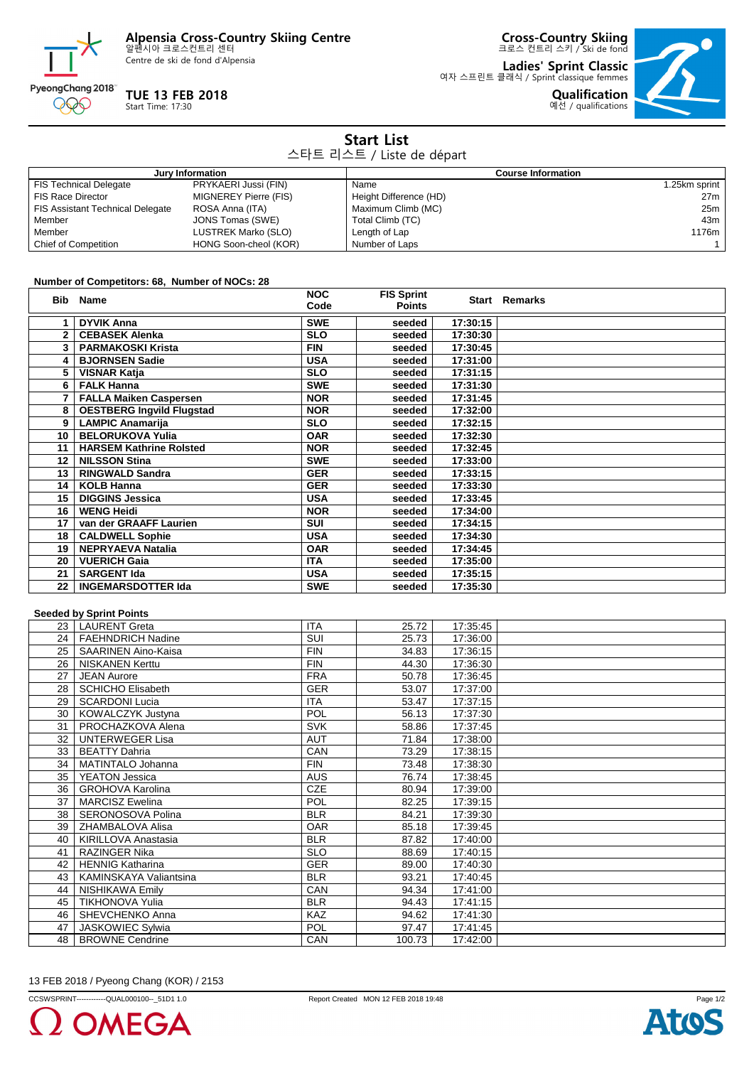**Alpensia Cross-Country Skiing Centre** 알펜시아 크로스컨트리 센터

Centre de ski de fond d'Alpensia



## **TUE 13 FEB 2018**

Start Time: 17:30

**Cross-Country Skiing** 크로스 컨트리 스키 / Ski de fond

**Ladies' Sprint Classic** 여자 스프린트 클래식 / Sprint classique femmes **Qualification**



| <b>Start List</b><br>스타트 리스트 / Liste de départ |                              |                           |                 |  |
|------------------------------------------------|------------------------------|---------------------------|-----------------|--|
| Jury Information                               |                              | <b>Course Information</b> |                 |  |
| <b>FIS Technical Delegate</b>                  | PRYKAERI Jussi (FIN)         | Name                      | 1.25km sprint   |  |
| <b>FIS Race Director</b>                       | <b>MIGNEREY Pierre (FIS)</b> | Height Difference (HD)    | 27 <sub>m</sub> |  |
| <b>FIS Assistant Technical Delegate</b>        | ROSA Anna (ITA)              | Maximum Climb (MC)        | 25m             |  |
| Member                                         | JONS Tomas (SWE)             | Total Climb (TC)          | 43m             |  |
| Member                                         | LUSTREK Marko (SLO)          | Length of Lap             | 1176m           |  |
| <b>Chief of Competition</b>                    | HONG Soon-cheol (KOR)        | Number of Laps            |                 |  |

## **Number of Competitors: 68, Number of NOCs: 28**

| Bib          | Name                             | <b>NOC</b><br>Code | <b>FIS Sprint</b><br><b>Points</b> |          | <b>Start Remarks</b> |
|--------------|----------------------------------|--------------------|------------------------------------|----------|----------------------|
| 1.           | <b>DYVIK Anna</b>                | <b>SWE</b>         | seeded                             | 17:30:15 |                      |
| $\mathbf{2}$ | <b>CEBASEK Alenka</b>            | <b>SLO</b>         | seeded                             | 17:30:30 |                      |
| 3            | <b>PARMAKOSKI Krista</b>         | <b>FIN</b>         | seeded                             | 17:30:45 |                      |
| 4            | <b>BJORNSEN Sadie</b>            | <b>USA</b>         | seeded                             | 17:31:00 |                      |
| 5            | <b>VISNAR Katja</b>              | <b>SLO</b>         | seeded                             | 17:31:15 |                      |
| 6            | <b>FALK Hanna</b>                | <b>SWE</b>         | seeded                             | 17:31:30 |                      |
|              | <b>FALLA Maiken Caspersen</b>    | <b>NOR</b>         | seeded                             | 17:31:45 |                      |
| 8            | <b>OESTBERG Ingvild Flugstad</b> | <b>NOR</b>         | seeded                             | 17:32:00 |                      |
| 9            | <b>LAMPIC Anamarija</b>          | <b>SLO</b>         | seeded                             | 17:32:15 |                      |
| 10           | <b>BELORUKOVA Yulia</b>          | <b>OAR</b>         | seeded                             | 17:32:30 |                      |
| 11           | <b>HARSEM Kathrine Rolsted</b>   | <b>NOR</b>         | seeded                             | 17:32:45 |                      |
| 12           | <b>NILSSON Stina</b>             | <b>SWE</b>         | seeded                             | 17:33:00 |                      |
| 13           | <b>RINGWALD Sandra</b>           | <b>GER</b>         | seeded                             | 17:33:15 |                      |
| 14           | <b>KOLB Hanna</b>                | <b>GER</b>         | seeded                             | 17:33:30 |                      |
| 15           | <b>DIGGINS Jessica</b>           | <b>USA</b>         | seeded                             | 17:33:45 |                      |
| 16           | <b>WENG Heidi</b>                | <b>NOR</b>         | seeded                             | 17:34:00 |                      |
| 17           | van der GRAAFF Laurien           | <b>SUI</b>         | seeded                             | 17:34:15 |                      |
| 18           | <b>CALDWELL Sophie</b>           | <b>USA</b>         | seeded                             | 17:34:30 |                      |
| 19           | <b>NEPRYAEVA Natalia</b>         | <b>OAR</b>         | seeded                             | 17:34:45 |                      |
| 20           | <b>VUERICH Gaia</b>              | <b>ITA</b>         | seeded                             | 17:35:00 |                      |
| 21           | <b>SARGENT Ida</b>               | <b>USA</b>         | seeded                             | 17:35:15 |                      |
| 22           | <b>INGEMARSDOTTER Ida</b>        | <b>SWE</b>         | seeded                             | 17:35:30 |                      |

## **Seeded by Sprint Points**

|                 | occaca by opinic romas     |            |        |          |  |
|-----------------|----------------------------|------------|--------|----------|--|
|                 | 23   LAURENT Greta         | <b>ITA</b> | 25.72  | 17:35:45 |  |
| 24 <sub>1</sub> | <b>FAEHNDRICH Nadine</b>   | SUI        | 25.73  | 17:36:00 |  |
| 25              | <b>SAARINEN Aino-Kaisa</b> | <b>FIN</b> | 34.83  | 17:36:15 |  |
| 26              | <b>NISKANEN Kerttu</b>     | <b>FIN</b> | 44.30  | 17:36:30 |  |
| 27              | <b>JEAN Aurore</b>         | <b>FRA</b> | 50.78  | 17:36:45 |  |
| 28              | <b>SCHICHO Elisabeth</b>   | <b>GER</b> | 53.07  | 17:37:00 |  |
| 29              | <b>SCARDONI Lucia</b>      | <b>ITA</b> | 53.47  | 17:37:15 |  |
| 30              | KOWALCZYK Justyna          | POL        | 56.13  | 17:37:30 |  |
| 31              | PROCHAZKOVA Alena          | <b>SVK</b> | 58.86  | 17:37:45 |  |
| 32              | <b>UNTERWEGER Lisa</b>     | <b>AUT</b> | 71.84  | 17:38:00 |  |
| 33              | <b>BEATTY Dahria</b>       | CAN        | 73.29  | 17:38:15 |  |
| 34              | MATINTALO Johanna          | <b>FIN</b> | 73.48  | 17:38:30 |  |
| 35              | YEATON Jessica             | <b>AUS</b> | 76.74  | 17:38:45 |  |
| 36              | <b>GROHOVA Karolina</b>    | <b>CZE</b> | 80.94  | 17:39:00 |  |
| 37              | <b>MARCISZ Ewelina</b>     | POL        | 82.25  | 17:39:15 |  |
| 38              | SERONOSOVA Polina          | <b>BLR</b> | 84.21  | 17:39:30 |  |
| 39              | ZHAMBALOVA Alisa           | <b>OAR</b> | 85.18  | 17:39:45 |  |
| 40              | KIRILLOVA Anastasia        | <b>BLR</b> | 87.82  | 17:40:00 |  |
| 41              | RAZINGER Nika              | <b>SLO</b> | 88.69  | 17:40:15 |  |
| 42              | <b>HENNIG Katharina</b>    | <b>GER</b> | 89.00  | 17:40:30 |  |
| 43              | KAMINSKAYA Valiantsina     | <b>BLR</b> | 93.21  | 17:40:45 |  |
| 44              | <b>NISHIKAWA Emily</b>     | CAN        | 94.34  | 17:41:00 |  |
| 45              | <b>TIKHONOVA Yulia</b>     | <b>BLR</b> | 94.43  | 17:41:15 |  |
| 46              | SHEVCHENKO Anna            | <b>KAZ</b> | 94.62  | 17:41:30 |  |
| 47              | <b>JASKOWIEC Sylwia</b>    | <b>POL</b> | 97.47  | 17:41:45 |  |
| 48              | <b>BROWNE Cendrine</b>     | <b>CAN</b> | 100.73 | 17:42:00 |  |

13 FEB 2018 / Pyeong Chang (KOR) / 2153